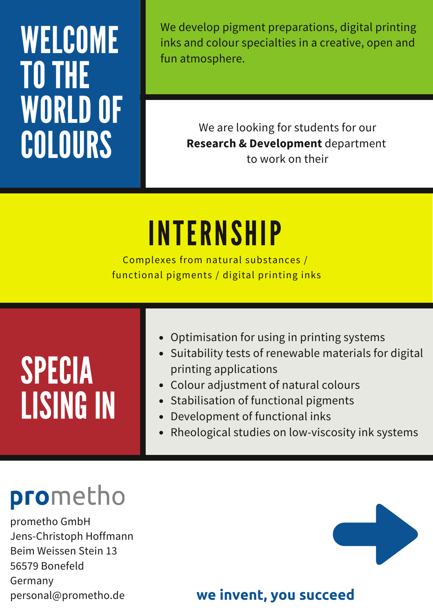## WELCOME TO THE **WORLD OF** COLOURS

We develop pigment preparations, digital printing inks and colour specialties in a creative, open and fun atmosphere.

> We are looking for students for our **Research & Development** department to work on their

> > 4

## Y $\blacksquare$ **INTERNSHIP**

o presenta functional pigments / digital printing inks stal Complexes from natural substances /

| • Suitability tests of renewable materials for digital<br>SPECIA<br>printing applications<br>• Colour adjustment of natural colours<br>• Stabilisation of functional pigments<br><b>LISING IN</b><br>• Development of functional inks<br>• Rheological studies on low-viscosity ink systems |
|---------------------------------------------------------------------------------------------------------------------------------------------------------------------------------------------------------------------------------------------------------------------------------------------|
|---------------------------------------------------------------------------------------------------------------------------------------------------------------------------------------------------------------------------------------------------------------------------------------------|

## prometho

prometho GmbH Jens-Christoph Hoffmann Beim Weissen Stein 13 56579 Bonefeld Germany personal@prometho.de



## **we invent, you succeed**